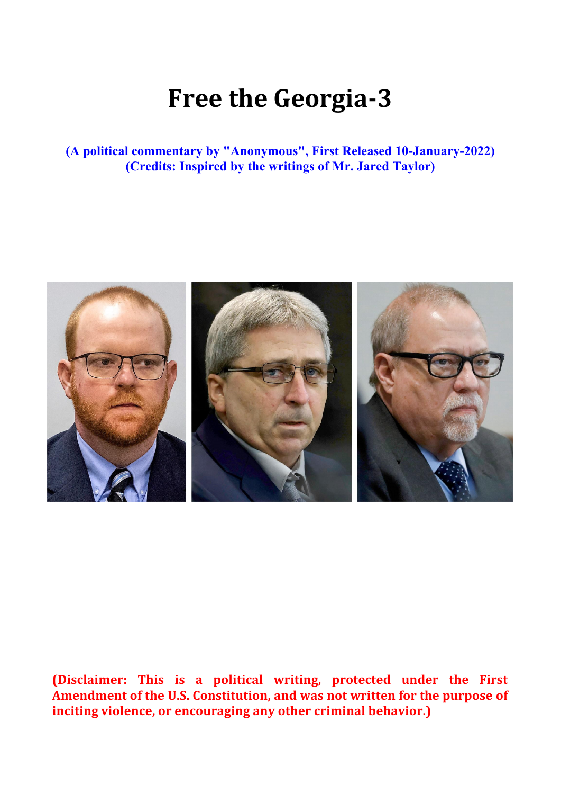## **Free the Georgia‐3**

**(A political commentary by "Anonymous", First Released 10-January-2022) (Credits: Inspired by the writings of Mr. Jared Taylor)** 



**(Disclaimer: This is a political writing, protected under the First Amendment of the U.S. Constitution, and was not written for the purpose of inciting violence, or encouraging any other criminal behavior.)**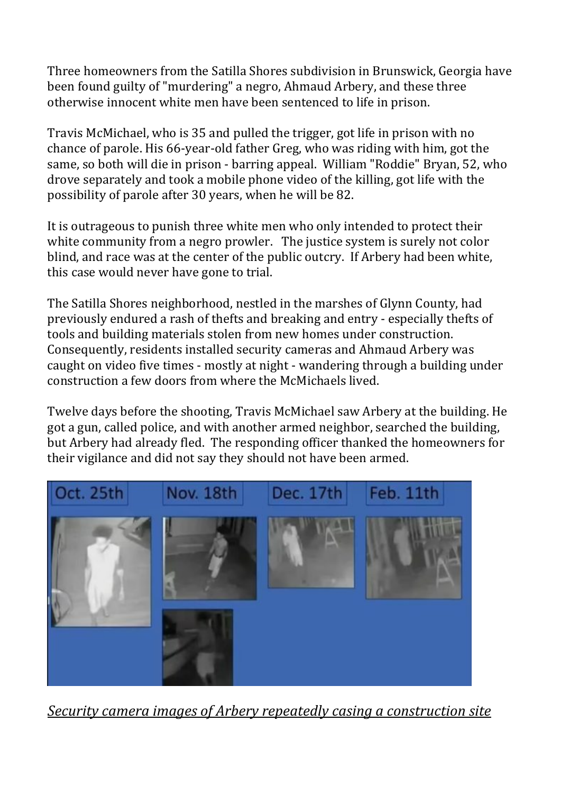Three homeowners from the Satilla Shores subdivision in Brunswick, Georgia have been found guilty of "murdering" a negro, Ahmaud Arbery, and these three otherwise innocent white men have been sentenced to life in prison.

Travis McMichael, who is 35 and pulled the trigger, got life in prison with no chance of parole. His 66-year-old father Greg, who was riding with him, got the same, so both will die in prison - barring appeal. William "Roddie" Bryan, 52, who drove separately and took a mobile phone video of the killing, got life with the possibility of parole after 30 years, when he will be 82.

It is outrageous to punish three white men who only intended to protect their white community from a negro prowler. The justice system is surely not color blind, and race was at the center of the public outcry. If Arbery had been white, this case would never have gone to trial.

The Satilla Shores neighborhood, nestled in the marshes of Glynn County, had previously endured a rash of thefts and breaking and entry - especially thefts of tools and building materials stolen from new homes under construction. Consequently, residents installed security cameras and Ahmaud Arbery was caught on video five times - mostly at night - wandering through a building under construction a few doors from where the McMichaels lived.

Twelve days before the shooting. Travis McMichael saw Arbery at the building. He got a gun, called police, and with another armed neighbor, searched the building, but Arbery had already fled. The responding officer thanked the homeowners for their vigilance and did not say they should not have been armed.



*Security camera images of Arbery repeatedly casing a construction site*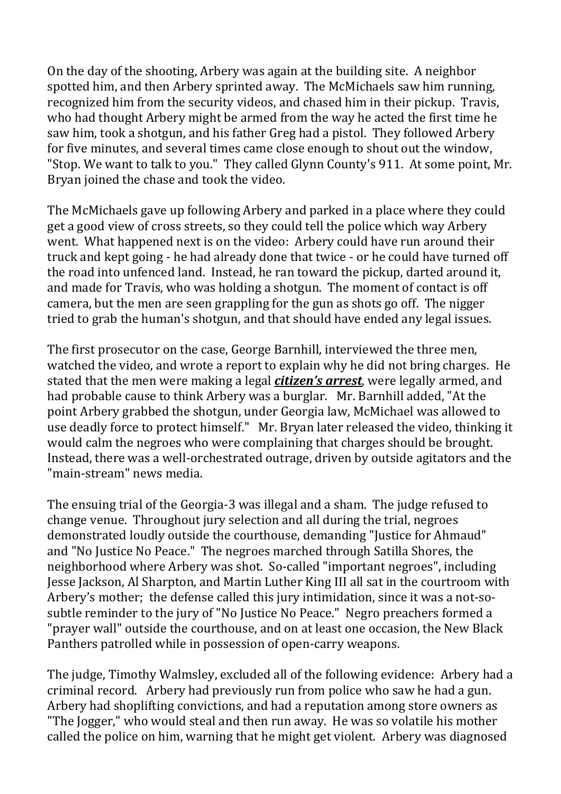On the day of the shooting, Arbery was again at the building site. A neighbor spotted him, and then Arbery sprinted away. The McMichaels saw him running, recognized him from the security videos, and chased him in their pickup. Travis, who had thought Arbery might be armed from the way he acted the first time he saw him, took a shotgun, and his father Greg had a pistol. They followed Arbery for five minutes, and several times came close enough to shout out the window, "Stop. We want to talk to you." They called Glynn County's 911. At some point, Mr. Bryan joined the chase and took the video.

The McMichaels gave up following Arbery and parked in a place where they could get a good view of cross streets, so they could tell the police which way Arbery went. What happened next is on the video: Arbery could have run around their truck and kept going - he had already done that twice - or he could have turned off the road into unfenced land. Instead, he ran toward the pickup, darted around it, and made for Travis, who was holding a shotgun. The moment of contact is off camera, but the men are seen grappling for the gun as shots go off. The nigger tried to grab the human's shotgun, and that should have ended any legal issues.

The first prosecutor on the case, George Barnhill, interviewed the three men, watched the video, and wrote a report to explain why he did not bring charges. He stated that the men were making a legal *citizen's arrest*, were legally armed, and had probable cause to think Arbery was a burglar. Mr. Barnhill added, "At the point Arbery grabbed the shotgun, under Georgia law, McMichael was allowed to use deadly force to protect himself." Mr. Bryan later released the video, thinking it would calm the negroes who were complaining that charges should be brought. Instead, there was a well-orchestrated outrage, driven by outside agitators and the "main-stream" news media.

The ensuing trial of the Georgia-3 was illegal and a sham. The judge refused to change venue. Throughout jury selection and all during the trial, negroes demonstrated loudly outside the courthouse, demanding "Justice for Ahmaud" and "No Justice No Peace." The negroes marched through Satilla Shores, the neighborhood where Arbery was shot. So-called "important negroes", including Jesse Jackson, Al Sharpton, and Martin Luther King III all sat in the courtroom with Arbery's mother; the defense called this jury intimidation, since it was a not-sosubtle reminder to the jury of "No Justice No Peace." Negro preachers formed a "prayer wall" outside the courthouse, and on at least one occasion, the New Black Panthers patrolled while in possession of open-carry weapons.

The judge, Timothy Walmsley, excluded all of the following evidence: Arbery had a criminal record. Arbery had previously run from police who saw he had a gun. Arbery had shoplifting convictions, and had a reputation among store owners as "The Jogger," who would steal and then run away. He was so volatile his mother called the police on him, warning that he might get violent. Arbery was diagnosed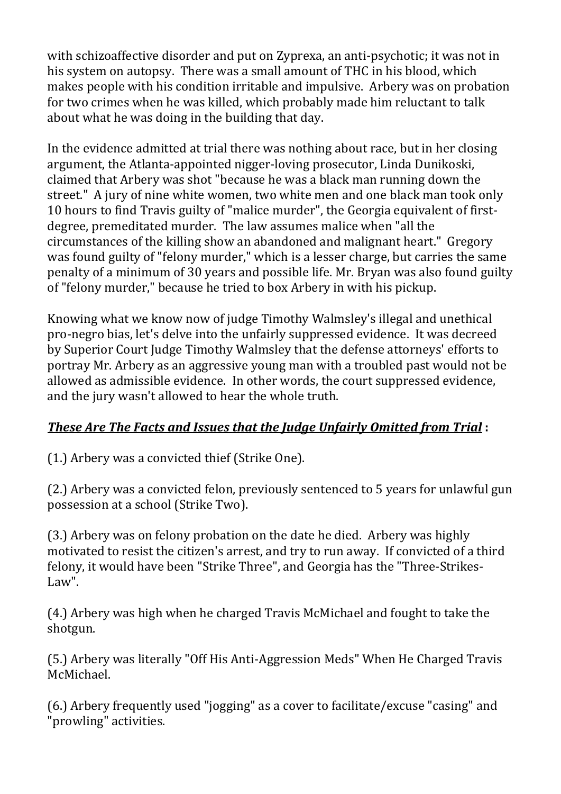with schizoaffective disorder and put on Zyprexa, an anti-psychotic; it was not in his system on autopsy. There was a small amount of THC in his blood, which makes people with his condition irritable and impulsive. Arbery was on probation for two crimes when he was killed, which probably made him reluctant to talk about what he was doing in the building that day.

In the evidence admitted at trial there was nothing about race, but in her closing argument, the Atlanta-appointed nigger-loving prosecutor, Linda Dunikoski, claimed that Arbery was shot "because he was a black man running down the street." A jury of nine white women, two white men and one black man took only 10 hours to find Travis guilty of "malice murder", the Georgia equivalent of firstdegree, premeditated murder. The law assumes malice when "all the circumstances of the killing show an abandoned and malignant heart." Gregory was found guilty of "felony murder," which is a lesser charge, but carries the same penalty of a minimum of 30 years and possible life. Mr. Bryan was also found guilty of "felony murder." because he tried to box Arbery in with his pickup.

Knowing what we know now of judge Timothy Walmsley's illegal and unethical pro-negro bias, let's delve into the unfairly suppressed evidence. It was decreed by Superior Court Judge Timothy Walmsley that the defense attorneys' efforts to portray Mr. Arbery as an aggressive young man with a troubled past would not be allowed as admissible evidence. In other words, the court suppressed evidence, and the jury wasn't allowed to hear the whole truth.

## *These Are The Facts and Issues that the Judge Unfairly Omitted from Trial* **:**

(1.) Arbery was a convicted thief (Strike One).

(2.) Arbery was a convicted felon, previously sentenced to 5 years for unlawful gun possession at a school (Strike Two).

(3.) Arbery was on felony probation on the date he died. Arbery was highly motivated to resist the citizen's arrest, and try to run away. If convicted of a third felony, it would have been "Strike Three", and Georgia has the "Three-Strikes-Law". 

(4.) Arbery was high when he charged Travis McMichael and fought to take the shotgun. 

(5.) Arbery was literally "Off His Anti-Aggression Meds" When He Charged Travis McMichael. 

(6.) Arbery frequently used "jogging" as a cover to facilitate/excuse "casing" and "prowling" activities.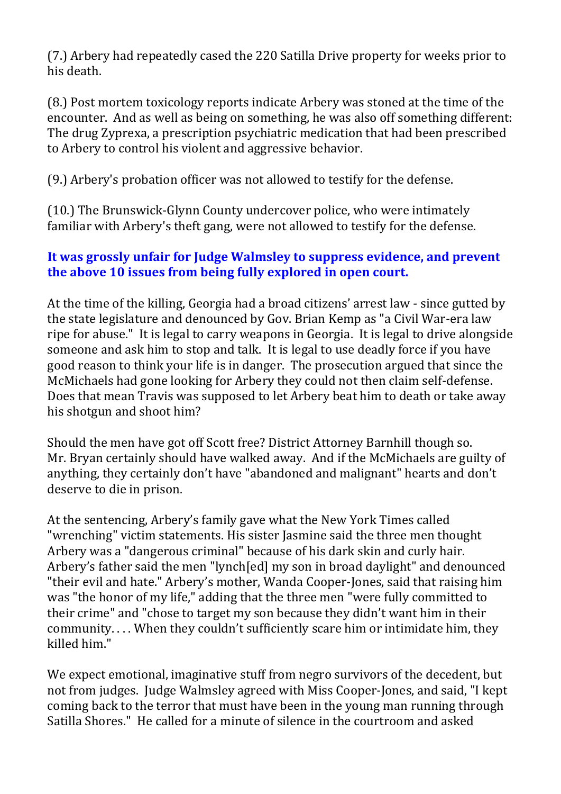(7.) Arbery had repeatedly cased the 220 Satilla Drive property for weeks prior to his death.

(8.) Post mortem toxicology reports indicate Arbery was stoned at the time of the encounter. And as well as being on something, he was also off something different: The drug Zyprexa, a prescription psychiatric medication that had been prescribed to Arbery to control his violent and aggressive behavior.

(9.) Arbery's probation officer was not allowed to testify for the defense.

(10.) The Brunswick-Glynn County undercover police, who were intimately familiar with Arbery's theft gang, were not allowed to testify for the defense.

## **It was grossly unfair for Judge Walmsley to suppress evidence, and prevent the above 10 issues from being fully explored in open court.**

At the time of the killing, Georgia had a broad citizens' arrest law - since gutted by the state legislature and denounced by Gov. Brian Kemp as "a Civil War-era law ripe for abuse." It is legal to carry weapons in Georgia. It is legal to drive alongside someone and ask him to stop and talk. It is legal to use deadly force if you have good reason to think your life is in danger. The prosecution argued that since the McMichaels had gone looking for Arbery they could not then claim self-defense. Does that mean Travis was supposed to let Arbery beat him to death or take away his shotgun and shoot him?

Should the men have got off Scott free? District Attorney Barnhill though so. Mr. Bryan certainly should have walked away. And if the McMichaels are guilty of anything, they certainly don't have "abandoned and malignant" hearts and don't deserve to die in prison.

At the sentencing, Arbery's family gave what the New York Times called "wrenching" victim statements. His sister Jasmine said the three men thought Arbery was a "dangerous criminal" because of his dark skin and curly hair. Arbery's father said the men "lynch[ed] my son in broad daylight" and denounced "their evil and hate." Arbery's mother, Wanda Cooper-Jones, said that raising him was "the honor of my life," adding that the three men "were fully committed to their crime" and "chose to target my son because they didn't want him in their community.... When they couldn't sufficiently scare him or intimidate him, they killed him."

We expect emotional, imaginative stuff from negro survivors of the decedent, but not from judges. Judge Walmsley agreed with Miss Cooper-Jones, and said, "I kept coming back to the terror that must have been in the young man running through Satilla Shores." He called for a minute of silence in the courtroom and asked